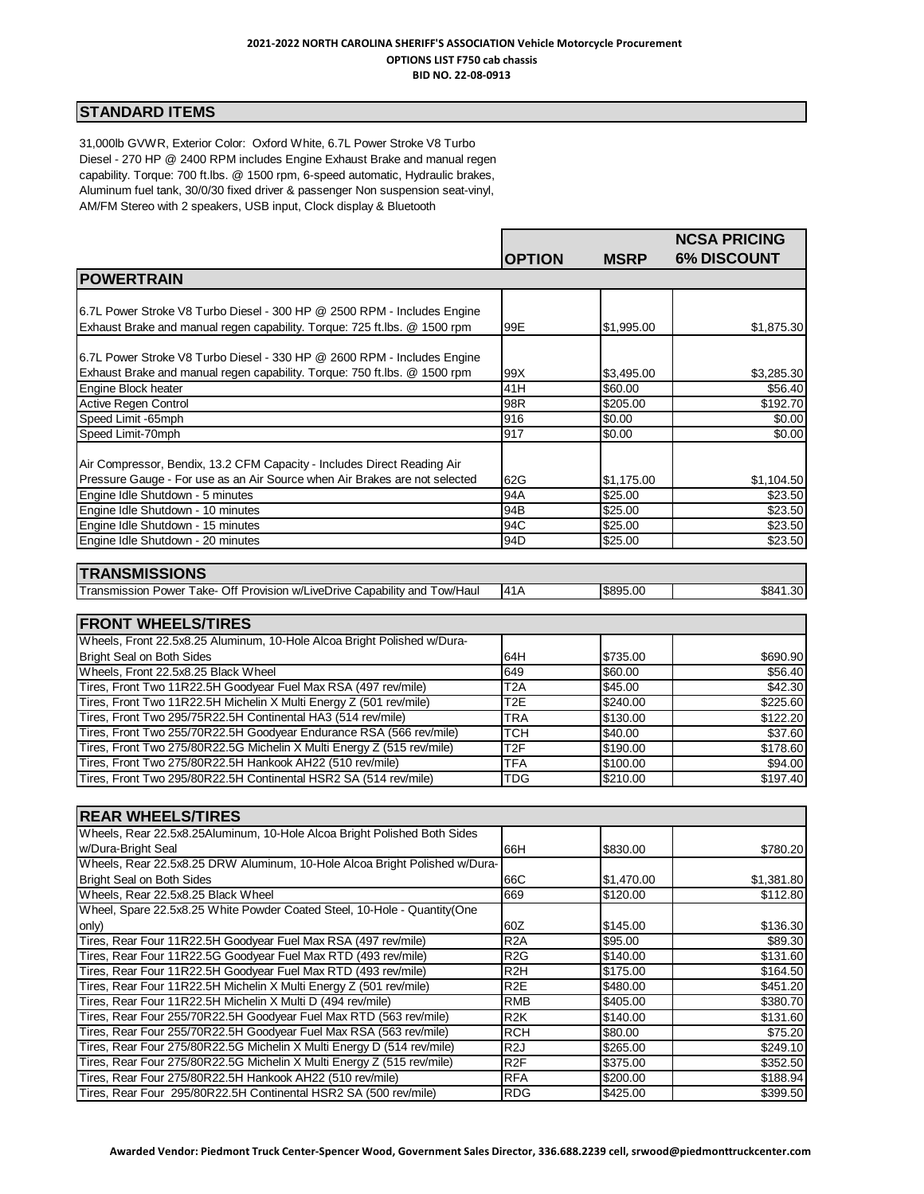#### **2021-2022 NORTH CAROLINA SHERIFF'S ASSOCIATION Vehicle Motorcycle Procurement OPTIONS LIST F750 cab chassis BID NO. 22-08-0913**

# **STANDARD ITEMS**

31,000lb GVWR, Exterior Color: Oxford White, 6.7L Power Stroke V8 Turbo Diesel - 270 HP @ 2400 RPM includes Engine Exhaust Brake and manual regen capability. Torque: 700 ft.lbs. @ 1500 rpm, 6-speed automatic, Hydraulic brakes, Aluminum fuel tank, 30/0/30 fixed driver & passenger Non suspension seat-vinyl, AM/FM Stereo with 2 speakers, USB input, Clock display & Bluetooth

|                                                                                                                                      |                                      |                      | <b>NCSA PRICING</b>  |
|--------------------------------------------------------------------------------------------------------------------------------------|--------------------------------------|----------------------|----------------------|
| <b>POWERTRAIN</b>                                                                                                                    | <b>OPTION</b>                        | <b>MSRP</b>          | <b>6% DISCOUNT</b>   |
|                                                                                                                                      |                                      |                      |                      |
| 6.7L Power Stroke V8 Turbo Diesel - 300 HP @ 2500 RPM - Includes Engine                                                              |                                      |                      |                      |
| Exhaust Brake and manual regen capability. Torque: 725 ft.lbs. @ 1500 rpm                                                            | 99E                                  | \$1,995.00           | \$1,875.30           |
|                                                                                                                                      |                                      |                      |                      |
| 6.7L Power Stroke V8 Turbo Diesel - 330 HP @ 2600 RPM - Includes Engine                                                              |                                      |                      |                      |
| Exhaust Brake and manual regen capability. Torque: 750 ft.lbs. @ 1500 rpm                                                            | 99X                                  | \$3,495.00           | \$3,285.30           |
| Engine Block heater                                                                                                                  | 41H                                  | \$60.00              | \$56.40              |
| <b>Active Regen Control</b>                                                                                                          | 98R                                  | \$205.00             | \$192.70             |
| Speed Limit -65mph                                                                                                                   | 916                                  | \$0.00               | \$0.00               |
| Speed Limit-70mph                                                                                                                    | 917                                  | \$0.00               | \$0.00               |
|                                                                                                                                      |                                      |                      |                      |
| Air Compressor, Bendix, 13.2 CFM Capacity - Includes Direct Reading Air                                                              |                                      |                      |                      |
| Pressure Gauge - For use as an Air Source when Air Brakes are not selected                                                           | 62G                                  | \$1,175.00           | \$1,104.50           |
| Engine Idle Shutdown - 5 minutes                                                                                                     | 94A                                  | \$25.00              | \$23.50              |
| Engine Idle Shutdown - 10 minutes                                                                                                    | 94B                                  | \$25.00              | \$23.50              |
| Engine Idle Shutdown - 15 minutes                                                                                                    | 94C                                  | \$25.00              | \$23.50              |
| Engine Idle Shutdown - 20 minutes                                                                                                    | 94D                                  | \$25.00              | \$23.50              |
|                                                                                                                                      |                                      |                      |                      |
| <b>TRANSMISSIONS</b>                                                                                                                 |                                      |                      |                      |
| Transmission Power Take- Off Provision w/LiveDrive Capability and Tow/Haul                                                           | 41A                                  | \$895.00             | \$841.30             |
| <b>FRONT WHEELS/TIRES</b>                                                                                                            |                                      |                      |                      |
|                                                                                                                                      |                                      |                      |                      |
| Wheels, Front 22.5x8.25 Aluminum, 10-Hole Alcoa Bright Polished w/Dura-                                                              |                                      |                      |                      |
| <b>Bright Seal on Both Sides</b>                                                                                                     | 64H                                  | \$735.00             | \$690.90             |
| Wheels, Front 22.5x8.25 Black Wheel                                                                                                  | 649                                  | \$60.00              | \$56.40              |
| Tires, Front Two 11R22.5H Goodyear Fuel Max RSA (497 rev/mile)                                                                       | T <sub>2</sub> A<br>T <sub>2</sub> E | \$45.00              | \$42.30              |
| Tires, Front Two 11R22.5H Michelin X Multi Energy Z (501 rev/mile)<br>Tires, Front Two 295/75R22.5H Continental HA3 (514 rev/mile)   | <b>TRA</b>                           | \$240.00<br>\$130.00 | \$225.60<br>\$122.20 |
| Tires, Front Two 255/70R22.5H Goodyear Endurance RSA (566 rev/mile)                                                                  | <b>TCH</b>                           | \$40.00              | \$37.60              |
| Tires, Front Two 275/80R22.5G Michelin X Multi Energy Z (515 rev/mile)                                                               | T <sub>2F</sub>                      | \$190.00             | \$178.60             |
| Tires, Front Two 275/80R22.5H Hankook AH22 (510 rev/mile)                                                                            | <b>TFA</b>                           | \$100.00             | \$94.00              |
| Tires, Front Two 295/80R22.5H Continental HSR2 SA (514 rev/mile)                                                                     | <b>TDG</b>                           | \$210.00             | \$197.40             |
|                                                                                                                                      |                                      |                      |                      |
|                                                                                                                                      |                                      |                      |                      |
| <b>REAR WHEELS/TIRES</b>                                                                                                             |                                      |                      |                      |
| Wheels, Rear 22.5x8.25Aluminum, 10-Hole Alcoa Bright Polished Both Sides                                                             |                                      |                      |                      |
| w/Dura-Bright Seal                                                                                                                   | 66H                                  | \$830.00             | \$780.20             |
| Wheels, Rear 22.5x8.25 DRW Aluminum, 10-Hole Alcoa Bright Polished w/Dura-                                                           |                                      |                      |                      |
| <b>Bright Seal on Both Sides</b>                                                                                                     | 66C                                  | \$1,470.00           | \$1,381.80           |
| Wheels, Rear 22.5x8.25 Black Wheel                                                                                                   | 669                                  | \$120.00             | \$112.80             |
| Wheel, Spare 22.5x8.25 White Powder Coated Steel, 10-Hole - Quantity(One                                                             |                                      |                      |                      |
| only)                                                                                                                                | 60Z                                  | \$145.00             | \$136.30             |
| Tires, Rear Four 11R22.5H Goodyear Fuel Max RSA (497 rev/mile)                                                                       | R <sub>2</sub> A                     | \$95.00              | \$89.30              |
| Tires, Rear Four 11R22.5G Goodyear Fuel Max RTD (493 rev/mile)                                                                       | R <sub>2</sub> G                     | \$140.00             | \$131.60             |
| Tires, Rear Four 11R22.5H Goodyear Fuel Max RTD (493 rev/mile)<br>Tires, Rear Four 11R22.5H Michelin X Multi Energy Z (501 rev/mile) | R <sub>2</sub> H<br>R <sub>2</sub> E | \$175.00<br>\$480.00 | \$164.50<br>\$451.20 |
| Tires, Rear Four 11R22.5H Michelin X Multi D (494 rev/mile)                                                                          | <b>RMB</b>                           | \$405.00             | \$380.70             |
| Tires, Rear Four 255/70R22.5H Goodyear Fuel Max RTD (563 rev/mile)                                                                   | R <sub>2</sub> K                     | \$140.00             | \$131.60             |
| Tires, Rear Four 255/70R22.5H Goodyear Fuel Max RSA (563 rev/mile)                                                                   | <b>RCH</b>                           | \$80.00              | \$75.20              |
| Tires, Rear Four 275/80R22.5G Michelin X Multi Energy D (514 rev/mile)                                                               | R <sub>2</sub> J                     | \$265.00             | \$249.10             |
| Tires, Rear Four 275/80R22.5G Michelin X Multi Energy Z (515 rev/mile)                                                               | R <sub>2</sub> F                     | \$375.00             | \$352.50             |
| Tires, Rear Four 275/80R22.5H Hankook AH22 (510 rev/mile)                                                                            | <b>RFA</b>                           | \$200.00             | \$188.94             |
| Tires, Rear Four 295/80R22.5H Continental HSR2 SA (500 rev/mile)                                                                     | <b>RDG</b>                           | \$425.00             | \$399.50             |
|                                                                                                                                      |                                      |                      |                      |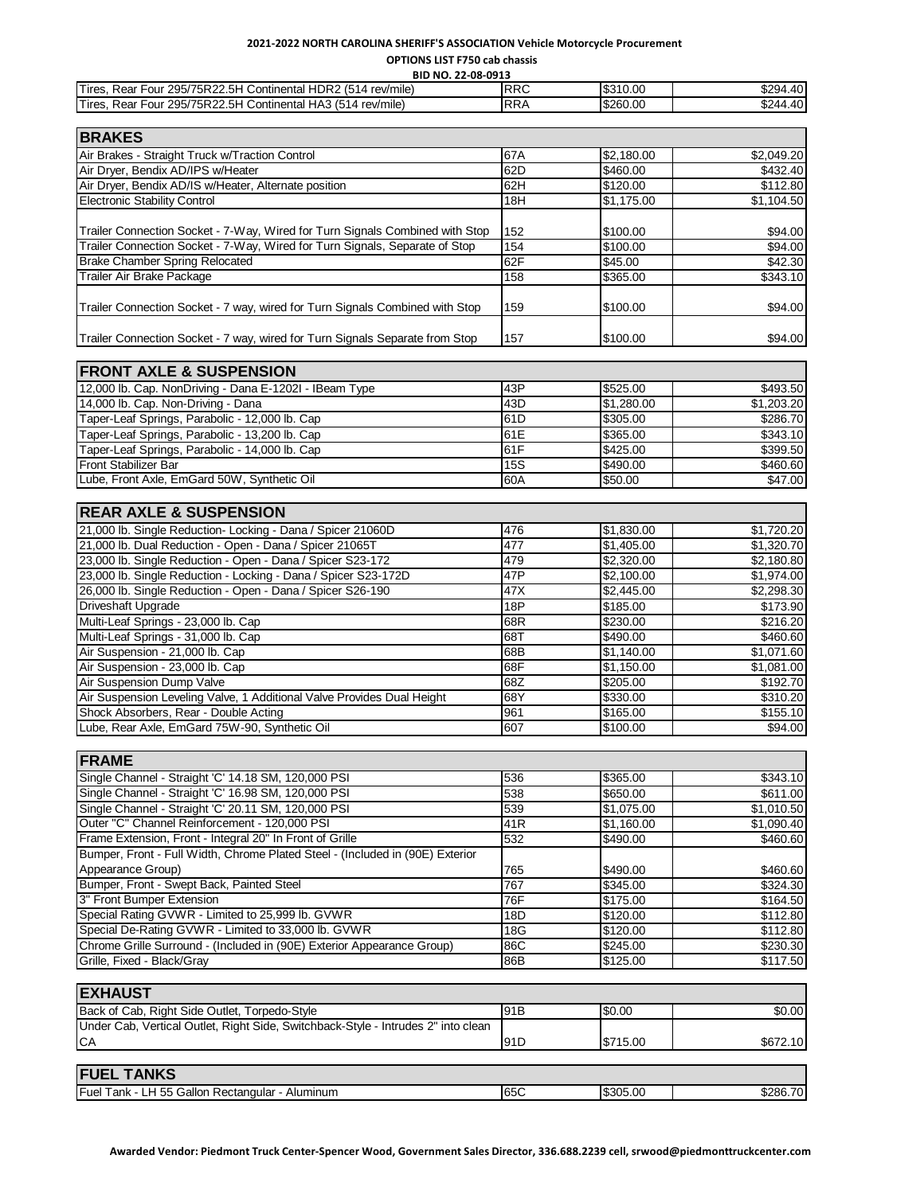### **2021-2022 NORTH CAROLINA SHERIFF'S ASSOCIATION Vehicle Motorcycle Procurement OPTIONS LIST F750 cab chassis**

**BID NO. 22-08-0913**

| DID MO. 22-08-0913                                                                |            |            |            |
|-----------------------------------------------------------------------------------|------------|------------|------------|
| Tires, Rear Four 295/75R22.5H Continental HDR2 (514 rev/mile)                     | <b>RRC</b> | \$310.00   | \$294.40   |
| Tires, Rear Four 295/75R22.5H Continental HA3 (514 rev/mile)                      | <b>RRA</b> | \$260.00   | \$244.40   |
|                                                                                   |            |            |            |
|                                                                                   |            |            |            |
| <b>BRAKES</b>                                                                     |            |            |            |
| Air Brakes - Straight Truck w/Traction Control                                    | 67A        | \$2,180.00 | \$2,049.20 |
| Air Dryer, Bendix AD/IPS w/Heater                                                 | 62D        | \$460.00   | \$432.40   |
|                                                                                   |            |            |            |
| Air Dryer, Bendix AD/IS w/Heater, Alternate position                              | 62H        | \$120.00   | \$112.80   |
| <b>Electronic Stability Control</b>                                               | 18H        | \$1,175.00 | \$1,104.50 |
|                                                                                   |            |            |            |
| Trailer Connection Socket - 7-Way, Wired for Turn Signals Combined with Stop      | 152        | \$100.00   | \$94.00    |
|                                                                                   |            |            |            |
| Trailer Connection Socket - 7-Way, Wired for Turn Signals, Separate of Stop       | 154        | \$100.00   | \$94.00    |
| <b>Brake Chamber Spring Relocated</b>                                             | 62F        | \$45.00    | \$42.30    |
| Trailer Air Brake Package                                                         | 158        | \$365.00   | \$343.10   |
|                                                                                   |            |            |            |
| Trailer Connection Socket - 7 way, wired for Turn Signals Combined with Stop      | 159        | \$100.00   | \$94.00    |
|                                                                                   |            |            |            |
|                                                                                   |            |            |            |
| Trailer Connection Socket - 7 way, wired for Turn Signals Separate from Stop      | 157        | \$100.00   | \$94.00    |
|                                                                                   |            |            |            |
| <b>FRONT AXLE &amp; SUSPENSION</b>                                                |            |            |            |
|                                                                                   |            |            |            |
| 12,000 lb. Cap. NonDriving - Dana E-1202I - IBeam Type                            | 43P        | \$525.00   | \$493.50   |
| 14,000 lb. Cap. Non-Driving - Dana                                                | 43D        | \$1,280.00 | \$1,203.20 |
| Taper-Leaf Springs, Parabolic - 12,000 lb. Cap                                    | 61D        | \$305.00   | \$286.70   |
|                                                                                   |            |            |            |
| Taper-Leaf Springs, Parabolic - 13,200 lb. Cap                                    | 61E        | \$365.00   | \$343.10   |
| Taper-Leaf Springs, Parabolic - 14,000 lb. Cap                                    | 61F        | \$425.00   | \$399.50   |
| Front Stabilizer Bar                                                              | <b>15S</b> | \$490.00   | \$460.60   |
| Lube, Front Axle, EmGard 50W, Synthetic Oil                                       | 60A        | \$50.00    | \$47.00    |
|                                                                                   |            |            |            |
|                                                                                   |            |            |            |
| <b>REAR AXLE &amp; SUSPENSION</b>                                                 |            |            |            |
| 21,000 lb. Single Reduction- Locking - Dana / Spicer 21060D                       | 476        | \$1,830.00 | \$1,720.20 |
|                                                                                   | 477        |            |            |
| 21,000 lb. Dual Reduction - Open - Dana / Spicer 21065T                           |            | \$1,405.00 | \$1,320.70 |
| 23,000 lb. Single Reduction - Open - Dana / Spicer S23-172                        | 479        | \$2,320.00 | \$2,180.80 |
| 23,000 lb. Single Reduction - Locking - Dana / Spicer S23-172D                    | 47P        | \$2,100.00 | \$1,974.00 |
| 26,000 lb. Single Reduction - Open - Dana / Spicer S26-190                        | 47X        | \$2,445.00 | \$2,298.30 |
| Driveshaft Upgrade                                                                | 18P        | \$185.00   | \$173.90   |
|                                                                                   |            |            |            |
| Multi-Leaf Springs - 23,000 lb. Cap                                               | 68R        | \$230.00   | \$216.20   |
| Multi-Leaf Springs - 31,000 lb. Cap                                               | 68T        | \$490.00   | \$460.60   |
| Air Suspension - 21,000 lb. Cap                                                   | 68B        | \$1,140.00 | \$1,071.60 |
| Air Suspension - 23,000 lb. Cap                                                   | 68F        | \$1,150.00 | \$1,081.00 |
| Air Suspension Dump Valve                                                         | 68Z        | \$205.00   | \$192.70   |
|                                                                                   |            |            |            |
| Air Suspension Leveling Valve, 1 Additional Valve Provides Dual Height            | 68Y        | \$330.00   | \$310.20   |
| Shock Absorbers, Rear - Double Acting                                             | 961        | \$165.00   | \$155.10   |
| Lube, Rear Axle, EmGard 75W-90, Synthetic Oil                                     | 607        | \$100.00   | \$94.00    |
|                                                                                   |            |            |            |
|                                                                                   |            |            |            |
| <b>FRAME</b>                                                                      |            |            |            |
| Single Channel - Straight 'C' 14.18 SM, 120,000 PSI                               | 536        | \$365.00   | \$343.10   |
| Single Channel - Straight 'C' 16.98 SM, 120,000 PSI                               | 538        | \$650.00   | \$611.00   |
| Single Channel - Straight 'C' 20.11 SM, 120,000 PSI                               | 539        | \$1,075.00 | \$1,010.50 |
|                                                                                   |            |            |            |
| Outer "C" Channel Reinforcement - 120,000 PSI                                     | 41R        | \$1,160.00 | \$1,090.40 |
| Frame Extension, Front - Integral 20" In Front of Grille                          | 532        | \$490.00   | \$460.60   |
| Bumper, Front - Full Width, Chrome Plated Steel - (Included in (90E) Exterior     |            |            |            |
| Appearance Group)                                                                 | 765        | \$490.00   | \$460.60   |
| Bumper, Front - Swept Back, Painted Steel                                         |            |            |            |
|                                                                                   | 767        | \$345.00   | \$324.30   |
| 3" Front Bumper Extension                                                         | 76F        | \$175.00   | \$164.50   |
| Special Rating GVWR - Limited to 25,999 lb. GVWR                                  | 18D        | \$120.00   | \$112.80   |
| Special De-Rating GVWR - Limited to 33,000 lb. GVWR                               | 18G        | \$120.00   | \$112.80   |
| Chrome Grille Surround - (Included in (90E) Exterior Appearance Group)            | 86C        | \$245.00   | \$230.30   |
|                                                                                   |            |            |            |
| Grille, Fixed - Black/Gray                                                        | 86B        | \$125.00   | \$117.50   |
|                                                                                   |            |            |            |
| <b>EXHAUST</b>                                                                    |            |            |            |
|                                                                                   |            |            |            |
| Back of Cab, Right Side Outlet, Torpedo-Style                                     | 91B        | \$0.00     | \$0.00     |
| Under Cab, Vertical Outlet, Right Side, Switchback-Style - Intrudes 2" into clean |            |            |            |
| CA                                                                                | 91D        | \$715.00   | \$672.10   |
|                                                                                   |            |            |            |
|                                                                                   |            |            |            |
| <b>FUEL TANKS</b>                                                                 |            |            |            |
| Fuel Tank - LH 55 Gallon Rectangular - Aluminum                                   | 65C        | \$305.00   | \$286.70   |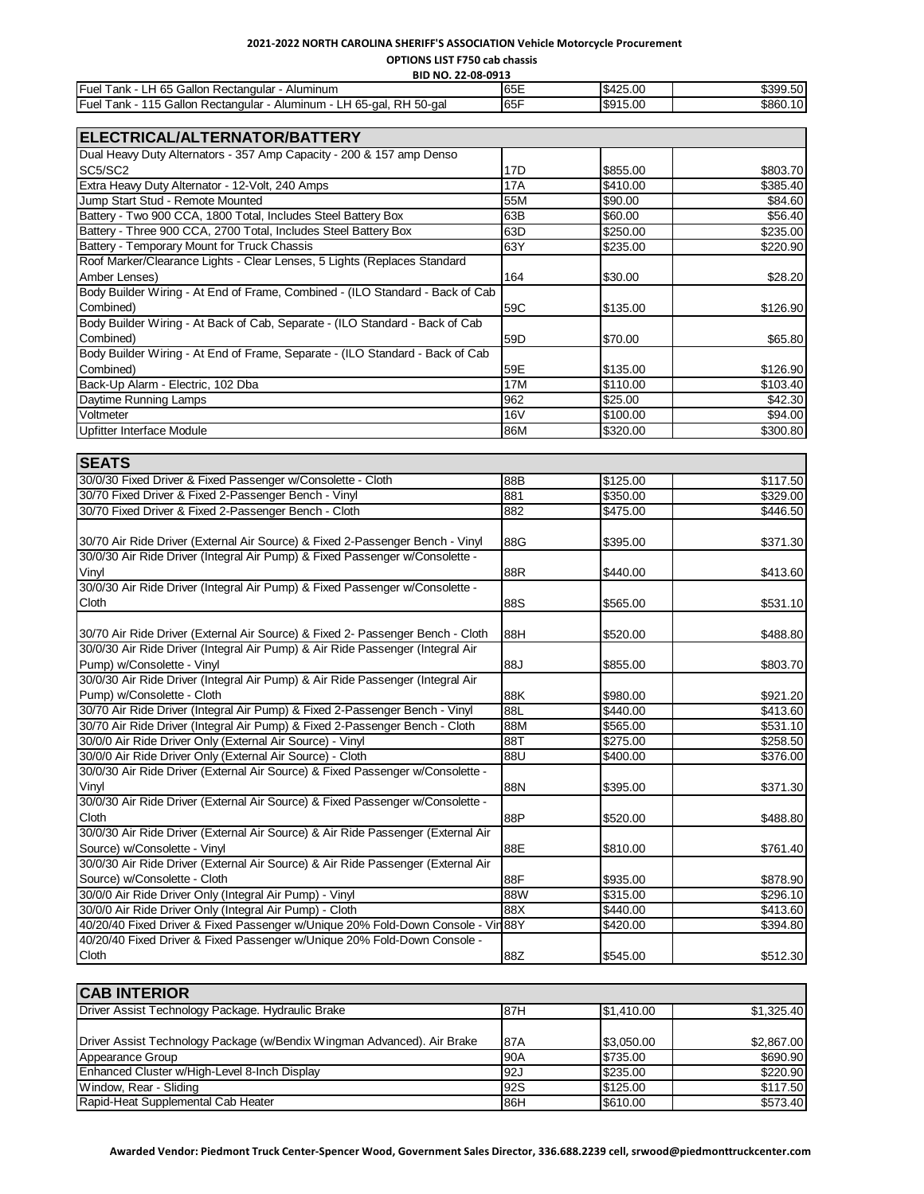## **2021-2022 NORTH CAROLINA SHERIFF'S ASSOCIATION Vehicle Motorcycle Procurement**

**OPTIONS LIST F750 cab chassis** 

| BID NO. 22-08-0913                                                                |      |          |          |
|-----------------------------------------------------------------------------------|------|----------|----------|
| Fuel T<br>LH 65 Gallon Rectangular<br>Tank -<br>Aluminum                          | 65E  | \$425.00 | \$399.50 |
| Fuel T<br>RH 50-gal<br>115 Gallon Rectangular<br>LH 65-gal,<br>rank<br>- Aluminum | 165F | \$915.00 | \$860.10 |

| ELECTRICAL/ALTERNATOR/BATTERY                                                  |            |          |                            |
|--------------------------------------------------------------------------------|------------|----------|----------------------------|
| Dual Heavy Duty Alternators - 357 Amp Capacity - 200 & 157 amp Denso           |            |          |                            |
| SC5/SC2                                                                        | 17D        | \$855.00 | \$803.70                   |
| Extra Heavy Duty Alternator - 12-Volt, 240 Amps                                | 17A        | \$410.00 | \$385.40                   |
| Jump Start Stud - Remote Mounted                                               | 55M        | \$90.00  | \$84.60                    |
| Battery - Two 900 CCA, 1800 Total, Includes Steel Battery Box                  | 63B        | \$60.00  | \$56.40                    |
| Battery - Three 900 CCA, 2700 Total, Includes Steel Battery Box                | 63D        | \$250.00 | \$235.00                   |
| Battery - Temporary Mount for Truck Chassis                                    | 63Y        |          |                            |
| Roof Marker/Clearance Lights - Clear Lenses, 5 Lights (Replaces Standard       |            | \$235.00 | \$220.90                   |
| Amber Lenses)                                                                  | 164        | \$30.00  | \$28.20                    |
| Body Builder Wiring - At End of Frame, Combined - (ILO Standard - Back of Cab  |            |          |                            |
| Combined)                                                                      | 59C        | \$135.00 | \$126.90                   |
| Body Builder Wiring - At Back of Cab, Separate - (ILO Standard - Back of Cab   |            |          |                            |
| Combined)                                                                      | 59D        | \$70.00  | \$65.80                    |
| Body Builder Wiring - At End of Frame, Separate - (ILO Standard - Back of Cab  |            |          |                            |
| Combined)                                                                      | 59E        | \$135.00 | \$126.90                   |
| Back-Up Alarm - Electric, 102 Dba                                              | <b>17M</b> | \$110.00 | \$103.40                   |
|                                                                                | 962        | \$25.00  |                            |
| Daytime Running Lamps<br>Voltmeter                                             | <b>16V</b> | \$100.00 | $\sqrt{$42.30}$<br>\$94.00 |
| <b>Upfitter Interface Module</b>                                               | 86M        | \$320.00 | \$300.80                   |
|                                                                                |            |          |                            |
|                                                                                |            |          |                            |
| <b>SEATS</b>                                                                   |            |          |                            |
| 30/0/30 Fixed Driver & Fixed Passenger w/Consolette - Cloth                    | 88B        | \$125.00 | \$117.50                   |
| 30/70 Fixed Driver & Fixed 2-Passenger Bench - Vinyl                           | 881        | \$350.00 | \$329.00                   |
| 30/70 Fixed Driver & Fixed 2-Passenger Bench - Cloth                           | 882        | \$475.00 | \$446.50                   |
|                                                                                |            |          |                            |
| 30/70 Air Ride Driver (External Air Source) & Fixed 2-Passenger Bench - Vinyl  | 88G        | \$395.00 | \$371.30                   |
| 30/0/30 Air Ride Driver (Integral Air Pump) & Fixed Passenger w/Consolette -   |            |          |                            |
| Vinyl                                                                          | 88R        | \$440.00 | \$413.60                   |
| 30/0/30 Air Ride Driver (Integral Air Pump) & Fixed Passenger w/Consolette -   |            |          |                            |
| Cloth                                                                          | 88S        | \$565.00 | \$531.10                   |
|                                                                                |            |          |                            |
| 30/70 Air Ride Driver (External Air Source) & Fixed 2- Passenger Bench - Cloth | 88H        | \$520.00 | \$488.80                   |
| 30/0/30 Air Ride Driver (Integral Air Pump) & Air Ride Passenger (Integral Air |            |          |                            |
| Pump) w/Consolette - Vinyl                                                     | 88J        | \$855.00 | \$803.70                   |
| 30/0/30 Air Ride Driver (Integral Air Pump) & Air Ride Passenger (Integral Air |            |          |                            |
| Pump) w/Consolette - Cloth                                                     | 88K        | \$980.00 | \$921.20                   |
| 30/70 Air Ride Driver (Integral Air Pump) & Fixed 2-Passenger Bench - Vinyl    | 88L        | \$440.00 | \$413.60                   |
| 30/70 Air Ride Driver (Integral Air Pump) & Fixed 2-Passenger Bench - Cloth    | 88M        | \$565.00 | \$531.10                   |

| 30/0/0 Air Ride Driver Only (External Air Source) - Vinyl                        | 88T | \$275.00 | \$258.50 |
|----------------------------------------------------------------------------------|-----|----------|----------|
| 30/0/0 Air Ride Driver Only (External Air Source) - Cloth                        | 88U | \$400.00 | \$376.00 |
| 30/0/30 Air Ride Driver (External Air Source) & Fixed Passenger w/Consolette -   |     |          |          |
| Vinyl                                                                            | 88N | \$395.00 | \$371.30 |
| 30/0/30 Air Ride Driver (External Air Source) & Fixed Passenger w/Consolette -   |     |          |          |
| <b>Cloth</b>                                                                     | 88P | \$520.00 | \$488.80 |
| 30/0/30 Air Ride Driver (External Air Source) & Air Ride Passenger (External Air |     |          |          |
| Source) w/Consolette - Vinyl                                                     | 88E | \$810.00 | \$761.40 |
| 30/0/30 Air Ride Driver (External Air Source) & Air Ride Passenger (External Air |     |          |          |
| Source) w/Consolette - Cloth                                                     | 88F | \$935.00 | \$878.90 |
| 30/0/0 Air Ride Driver Only (Integral Air Pump) - Vinyl                          | 88W | \$315.00 | \$296.10 |
| 30/0/0 Air Ride Driver Only (Integral Air Pump) - Cloth                          | 88X | \$440.00 | \$413.60 |
| 40/20/40 Fixed Driver & Fixed Passenger w/Unique 20% Fold-Down Console - Vin 88Y |     | \$420.00 | \$394.80 |
| 40/20/40 Fixed Driver & Fixed Passenger w/Unique 20% Fold-Down Console -         |     |          |          |
| <b>Cloth</b>                                                                     | 88Z | \$545.00 | \$512.30 |

| <b>CAB INTERIOR</b>                                                     |            |            |            |  |
|-------------------------------------------------------------------------|------------|------------|------------|--|
| Driver Assist Technology Package. Hydraulic Brake                       | 87H        | \$1,410.00 | \$1.325.40 |  |
| Driver Assist Technology Package (w/Bendix Wingman Advanced). Air Brake | 87A        | \$3,050.00 | \$2,867.00 |  |
| Appearance Group                                                        | 90A        | \$735.00   | \$690.90   |  |
| Enhanced Cluster w/High-Level 8-Inch Display                            | 92J        | \$235.00   | \$220.90   |  |
| Window, Rear - Sliding                                                  | <b>92S</b> | \$125.00   | \$117.50   |  |
| Rapid-Heat Supplemental Cab Heater                                      | 86H        | \$610.00   | \$573.40   |  |